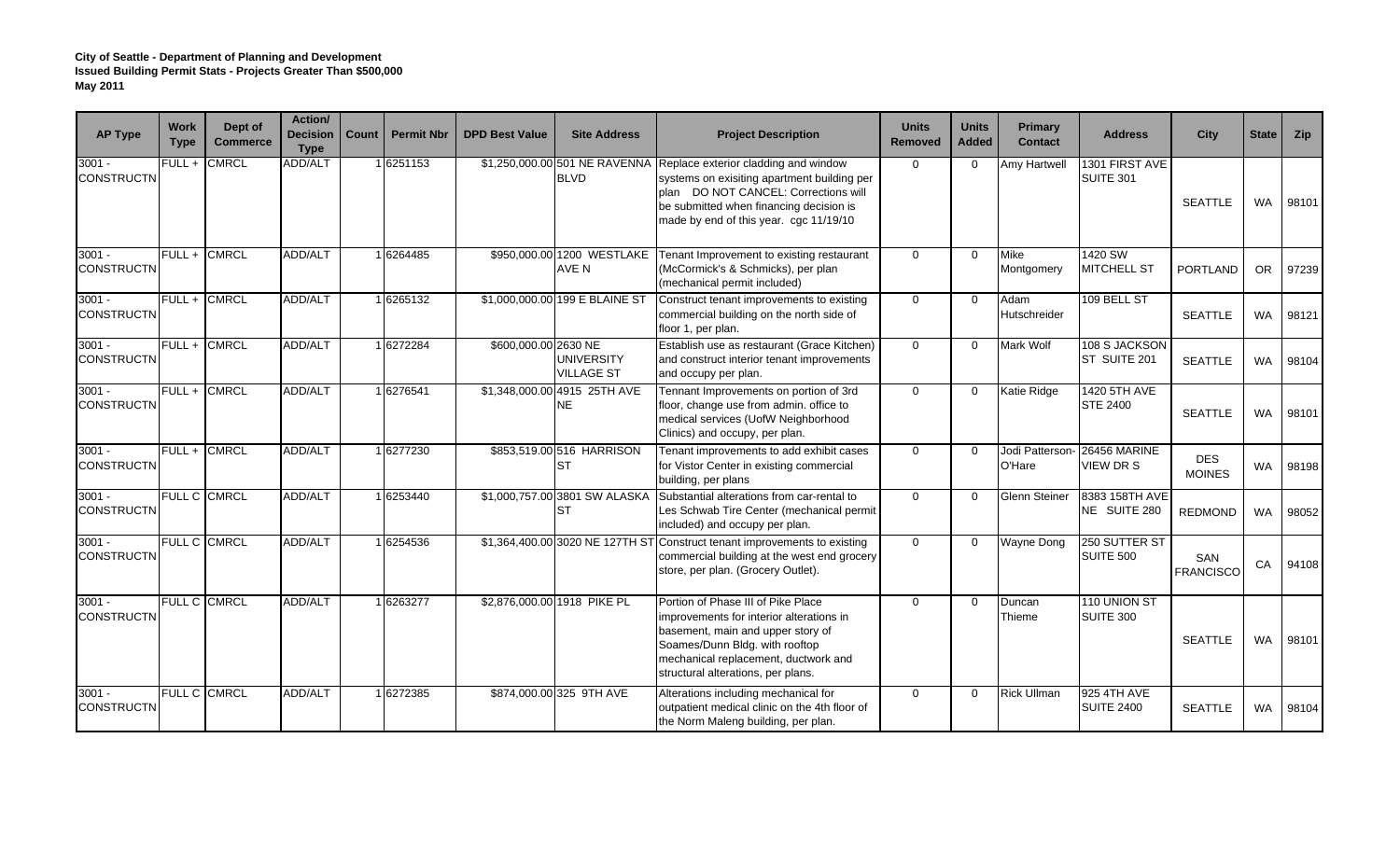| <b>AP Type</b>                | <b>Work</b><br><b>Type</b> | Dept of<br><b>Commerce</b> | Action/<br><b>Decision</b><br><b>Type</b> | Count | <b>Permit Nbr</b> | <b>DPD Best Value</b> | <b>Site Address</b>                          | <b>Project Description</b>                                                                                                                                                                                                          | <b>Units</b><br><b>Removed</b> | <b>Units</b><br><b>Added</b> | Primary<br><b>Contact</b> | <b>Address</b>                    | <b>City</b>                 | <b>State</b> | Zip   |
|-------------------------------|----------------------------|----------------------------|-------------------------------------------|-------|-------------------|-----------------------|----------------------------------------------|-------------------------------------------------------------------------------------------------------------------------------------------------------------------------------------------------------------------------------------|--------------------------------|------------------------------|---------------------------|-----------------------------------|-----------------------------|--------------|-------|
| $3001 -$<br><b>CONSTRUCTN</b> | FULL +                     | <b>CMRCL</b>               | <b>ADD/ALT</b>                            |       | 16251153          |                       | \$1,250,000.00 501 NE RAVENNA<br><b>BLVD</b> | Replace exterior cladding and window<br>systems on exisiting apartment building per<br>plan DO NOT CANCEL: Corrections will<br>be submitted when financing decision is<br>made by end of this year. cgc 11/19/10                    | $\mathbf 0$                    | $\Omega$                     | <b>Amy Hartwell</b>       | 1301 FIRST AVE<br>SUITE 301       | <b>SEATTLE</b>              | <b>WA</b>    | 98101 |
| $3001 -$<br><b>CONSTRUCTN</b> | FULL+                      | <b>CMRCL</b>               | <b>ADD/ALT</b>                            |       | 6264485           |                       | \$950,000.00 1200 WESTLAKE<br>AVE N          | Tenant Improvement to existing restaurant<br>(McCormick's & Schmicks), per plan<br>(mechanical permit included)                                                                                                                     | $\Omega$                       | $\Omega$                     | <b>Mike</b><br>Montgomery | 1420 SW<br>MITCHELL ST            | <b>PORTLAND</b>             | <b>OR</b>    | 97239 |
| $3001 -$<br><b>CONSTRUCTN</b> |                            | FULL + CMRCL               | <b>ADD/ALT</b>                            |       | 1 6265132         |                       | \$1,000,000.00 199 E BLAINE ST               | Construct tenant improvements to existing<br>commercial building on the north side of<br>floor 1, per plan.                                                                                                                         | $\mathbf 0$                    | $\Omega$                     | Adam<br>Hutschreider      | 109 BELL ST                       | <b>SEATTLE</b>              | <b>WA</b>    | 98121 |
| $3001 -$<br><b>CONSTRUCTN</b> | FULL+                      | <b>CMRCL</b>               | <b>ADD/ALT</b>                            |       | 6272284           | \$600,000.00 2630 NE  | <b>UNIVERSITY</b><br><b>VILLAGE ST</b>       | Establish use as restaurant (Grace Kitchen)<br>and construct interior tenant improvements<br>and occupy per plan.                                                                                                                   | $\Omega$                       | $\Omega$                     | <b>Mark Wolf</b>          | 108 S JACKSON<br>ST SUITE 201     | <b>SEATTLE</b>              | <b>WA</b>    | 98104 |
| $3001 -$<br><b>CONSTRUCTN</b> | FULL+                      | CMRCL                      | <b>ADD/ALT</b>                            |       | 16276541          |                       | \$1,348,000.00 4915 25TH AVE<br>NE           | Tennant Improvements on portion of 3rd<br>floor, change use from admin. office to<br>medical services (UofW Neighborhood<br>Clinics) and occupy, per plan.                                                                          | $\mathbf 0$                    | $\Omega$                     | Katie Ridge               | 1420 5TH AVE<br><b>STE 2400</b>   | <b>SEATTLE</b>              | <b>WA</b>    | 98101 |
| $3001 -$<br><b>CONSTRUCTN</b> | $FULL +$                   | <b>CMRCL</b>               | <b>ADD/ALT</b>                            |       | 16277230          |                       | \$853,519.00 516 HARRISON<br>IST             | Tenant improvements to add exhibit cases<br>for Vistor Center in existing commercial<br>building, per plans                                                                                                                         | $\Omega$                       | $\Omega$                     | Jodi Patterson-<br>O'Hare | <b>26456 MARINE</b><br>VIEW DR S  | <b>DES</b><br><b>MOINES</b> | <b>WA</b>    | 98198 |
| $3001 -$<br><b>CONSTRUCTN</b> |                            | FULL C CMRCL               | <b>ADD/ALT</b>                            |       | 16253440          |                       | \$1,000,757.00 3801 SW ALASKA<br>IST         | Substantial alterations from car-rental to<br>Les Schwab Tire Center (mechanical permit<br>included) and occupy per plan.                                                                                                           | $\mathbf 0$                    |                              | <b>Glenn Steiner</b>      | 8383 158TH AVE<br>NE SUITE 280    | <b>REDMOND</b>              | <b>WA</b>    | 98052 |
| $3001 -$<br><b>CONSTRUCTN</b> |                            | FULL C CMRCL               | <b>ADD/ALT</b>                            |       | 16254536          |                       |                                              | \$1,364,400.00 3020 NE 127TH ST Construct tenant improvements to existing<br>commercial building at the west end grocery<br>store, per plan. (Grocery Outlet).                                                                      | $\Omega$                       | $\Omega$                     | <b>Wayne Dong</b>         | 250 SUTTER ST<br><b>SUITE 500</b> | SAN<br><b>FRANCISCO</b>     | CA           | 94108 |
| $3001 -$<br><b>CONSTRUCTN</b> |                            | FULL C CMRCL               | <b>ADD/ALT</b>                            |       | 16263277          |                       | \$2,876,000.00 1918 PIKE PL                  | Portion of Phase III of Pike Place<br>improvements for interior alterations in<br>basement, main and upper story of<br>Soames/Dunn Bldg. with rooftop<br>mechanical replacement, ductwork and<br>structural alterations, per plans. | $\Omega$                       | $\Omega$                     | Duncan<br>Thieme          | 110 UNION ST<br><b>SUITE 300</b>  | <b>SEATTLE</b>              | <b>WA</b>    | 98101 |
| $3001 -$<br><b>CONSTRUCTN</b> |                            | FULL C CMRCL               | <b>ADD/ALT</b>                            |       | 6272385           |                       | \$874,000.00 325 9TH AVE                     | Alterations including mechanical for<br>outpatient medical clinic on the 4th floor of<br>the Norm Maleng building, per plan.                                                                                                        | $\Omega$                       | $\Omega$                     | <b>Rick Ullman</b>        | 925 4TH AVE<br><b>SUITE 2400</b>  | <b>SEATTLE</b>              | <b>WA</b>    | 98104 |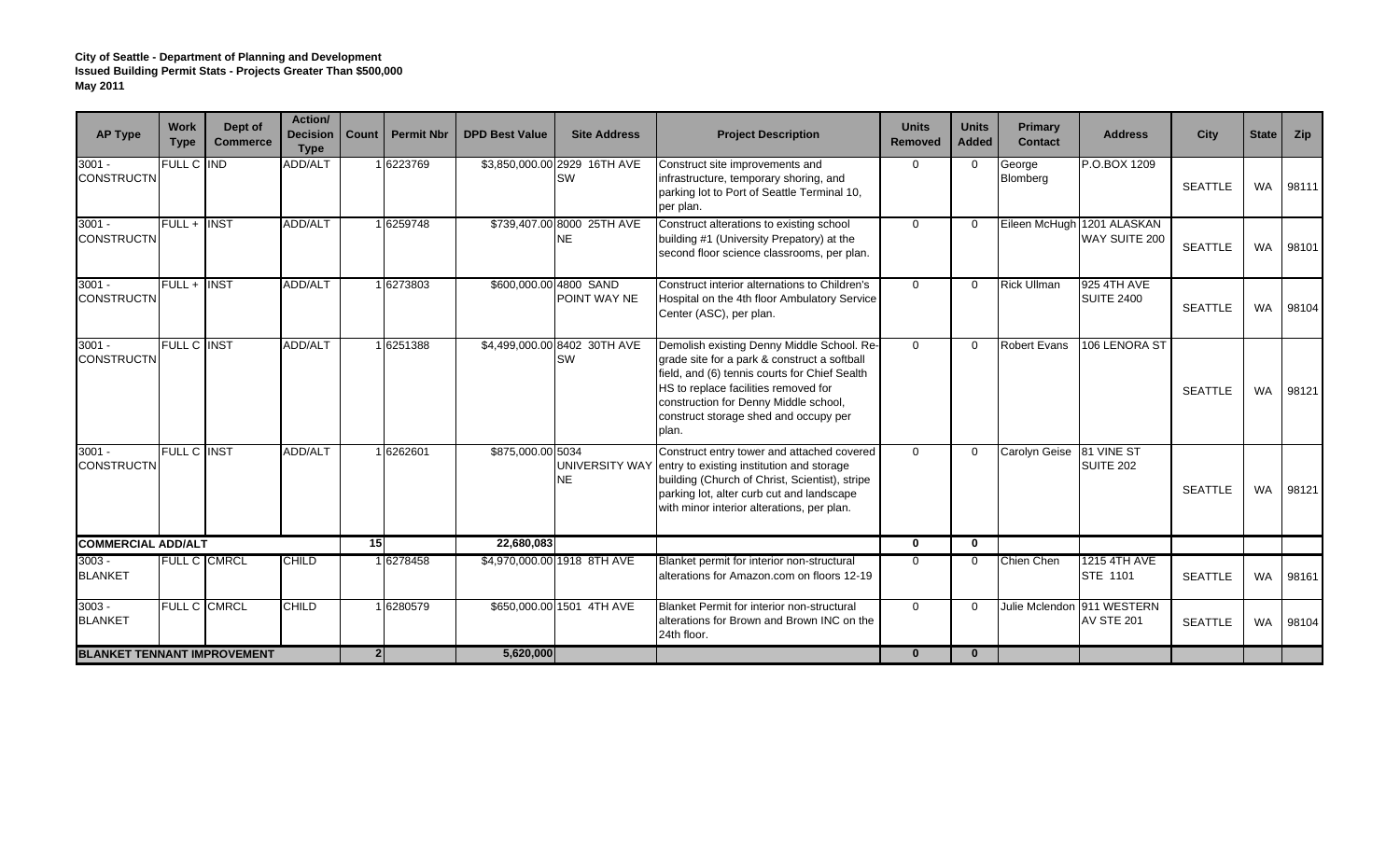| <b>AP Type</b>                     | <b>Work</b><br><b>Type</b> | Dept of<br><b>Commerce</b> | Action/<br><b>Decision</b><br><b>Type</b> | Count          | <b>Permit Nbr</b> | <b>DPD Best Value</b> | <b>Site Address</b>                       | <b>Project Description</b>                                                                                                                                                                                                                                                     | <b>Units</b><br><b>Removed</b> | <b>Units</b><br><b>Added</b> | Primary<br><b>Contact</b> | <b>Address</b>                                  | City           | State     | <b>Zip</b> |
|------------------------------------|----------------------------|----------------------------|-------------------------------------------|----------------|-------------------|-----------------------|-------------------------------------------|--------------------------------------------------------------------------------------------------------------------------------------------------------------------------------------------------------------------------------------------------------------------------------|--------------------------------|------------------------------|---------------------------|-------------------------------------------------|----------------|-----------|------------|
| $3001 -$<br><b>CONSTRUCTN</b>      | FULL C IND                 |                            | <b>ADD/ALT</b>                            |                | 16223769          |                       | \$3,850,000.00 2929 16TH AVE<br><b>SW</b> | Construct site improvements and<br>infrastructure, temporary shoring, and<br>parking lot to Port of Seattle Terminal 10,<br>per plan.                                                                                                                                          | $\Omega$                       | $\Omega$                     | George<br>Blomberg        | P.O.BOX 1209                                    | <b>SEATTLE</b> | <b>WA</b> | 98111      |
| $3001 -$<br><b>CONSTRUCTN</b>      | FULL + INST                |                            | ADD/ALT                                   |                | 16259748          |                       | \$739,407.00 8000 25TH AVE<br>NE          | Construct alterations to existing school<br>building #1 (University Prepatory) at the<br>second floor science classrooms, per plan.                                                                                                                                            | $\Omega$                       |                              | Eileen McHugh             | 1201 ALASKAN<br>WAY SUITE 200                   | <b>SEATTLE</b> | <b>WA</b> | 98101      |
| $3001 -$<br><b>CONSTRUCTN</b>      | FULL + INST                |                            | ADD/ALT                                   |                | 16273803          |                       | \$600,000.00 4800 SAND<br>POINT WAY NE    | Construct interior alternations to Children's<br>Hospital on the 4th floor Ambulatory Service<br>Center (ASC), per plan.                                                                                                                                                       | $\Omega$                       | $\Omega$                     | <b>Rick Ullman</b>        | 925 4TH AVE<br><b>SUITE 2400</b>                | <b>SEATTLE</b> | <b>WA</b> | 98104      |
| $3001 -$<br><b>CONSTRUCTN</b>      | <b>FULL C INST</b>         |                            | ADD/ALT                                   |                | 1 6251388         |                       | \$4,499,000.00 8402 30TH AVE<br><b>SW</b> | Demolish existing Denny Middle School. Re-<br>grade site for a park & construct a softball<br>field, and (6) tennis courts for Chief Sealth<br>HS to replace facilities removed for<br>construction for Denny Middle school,<br>construct storage shed and occupy per<br>plan. | $\Omega$                       | $\Omega$                     | <b>Robert Evans</b>       | 106 LENORA ST                                   | <b>SEATTLE</b> | <b>WA</b> | 98121      |
| $3001 -$<br><b>CONSTRUCTN</b>      | <b>FULL C INST</b>         |                            | ADD/ALT                                   |                | 16262601          | \$875,000.00 5034     | NE                                        | Construct entry tower and attached covered<br>UNIVERSITY WAY entry to existing institution and storage<br>building (Church of Christ, Scientist), stripe<br>parking lot, alter curb cut and landscape<br>with minor interior alterations, per plan.                            | $\mathbf{0}$                   |                              | Carolyn Geise 81 VINE ST  | <b>SUITE 202</b>                                | SEATTLE        | <b>WA</b> | 98121      |
| <b>COMMERCIAL ADD/ALT</b>          |                            |                            |                                           | 15             |                   | 22.680.083            |                                           |                                                                                                                                                                                                                                                                                | $\mathbf 0$                    | $\mathbf{0}$                 |                           |                                                 |                |           |            |
| $3003 -$<br><b>BLANKET</b>         |                            | <b>FULL C CMRCL</b>        | <b>CHILD</b>                              |                | 16278458          |                       | \$4,970,000.00 1918 8TH AVE               | Blanket permit for interior non-structural<br>alterations for Amazon.com on floors 12-19                                                                                                                                                                                       | $\mathbf 0$                    |                              | Chien Chen                | <b>1215 4TH AVE</b><br>STE 1101                 | <b>SEATTLE</b> | <b>WA</b> | 98161      |
| $3003 -$<br><b>BLANKET</b>         |                            | FULL C CMRCL               | <b>CHILD</b>                              |                | 16280579          |                       | \$650,000.00 1501 4TH AVE                 | <b>Blanket Permit for interior non-structural</b><br>alterations for Brown and Brown INC on the<br>24th floor.                                                                                                                                                                 | $\Omega$                       |                              |                           | Julie Mclendon 911 WESTERN<br><b>AV STE 201</b> | <b>SEATTLE</b> | <b>WA</b> | 98104      |
| <b>BLANKET TENNANT IMPROVEMENT</b> |                            |                            |                                           | 2 <sup>1</sup> |                   | 5,620,000             |                                           |                                                                                                                                                                                                                                                                                | $\mathbf{0}$                   | $\mathbf{0}$                 |                           |                                                 |                |           |            |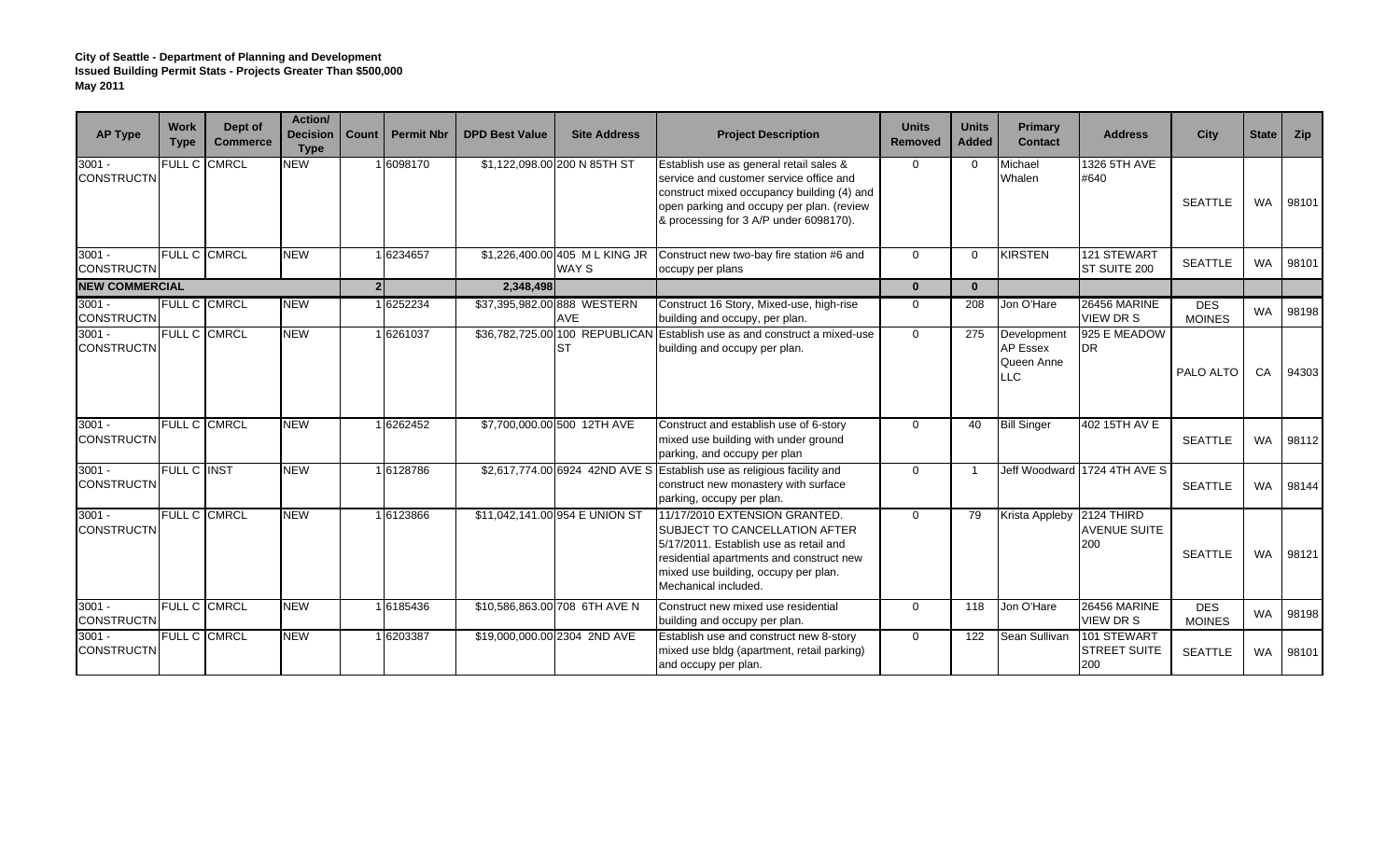| <b>AP Type</b>                | Work<br><b>Type</b> | Dept of<br><b>Commerce</b> | <b>Action/</b><br><b>Decision</b><br><b>Type</b> | Count          | <b>Permit Nbr</b> | <b>DPD Best Value</b> | <b>Site Address</b>                       | <b>Project Description</b>                                                                                                                                                                                                   | <b>Units</b><br><b>Removed</b> | <b>Units</b><br><b>Added</b> | Primary<br><b>Contact</b>                           | <b>Address</b>                            | City                        | <b>State</b> | <b>Zip</b> |
|-------------------------------|---------------------|----------------------------|--------------------------------------------------|----------------|-------------------|-----------------------|-------------------------------------------|------------------------------------------------------------------------------------------------------------------------------------------------------------------------------------------------------------------------------|--------------------------------|------------------------------|-----------------------------------------------------|-------------------------------------------|-----------------------------|--------------|------------|
| $3001 -$<br><b>CONSTRUCTN</b> | FULL C              | <b>CMRCL</b>               | <b>NEW</b>                                       |                | 6098170           |                       | \$1,122,098.00 200 N 85TH ST              | Establish use as general retail sales &<br>service and customer service office and<br>construct mixed occupancy building (4) and<br>open parking and occupy per plan. (review<br>& processing for 3 A/P under 6098170).      | $\Omega$                       | $\Omega$                     | Michael<br>Whalen                                   | 1326 5TH AVE<br>#640                      | <b>SEATTLE</b>              | <b>WA</b>    | 98101      |
| $3001 -$<br><b>CONSTRUCTN</b> | FULL C CMRCL        |                            | <b>NEW</b>                                       |                | 6234657           |                       | \$1,226,400.00 405 ML KING JR<br>WAY S    | Construct new two-bay fire station #6 and<br>occupy per plans                                                                                                                                                                | $\Omega$                       | $\Omega$                     | <b>KIRSTEN</b>                                      | 121 STEWART<br>ST SUITE 200               | <b>SEATTLE</b>              | <b>WA</b>    | 98101      |
| <b>NEW COMMERCIAL</b>         |                     |                            |                                                  | 2 <sup>1</sup> |                   | 2,348,498             |                                           |                                                                                                                                                                                                                              | $\mathbf{0}$                   | $\bf{0}$                     |                                                     |                                           |                             |              |            |
| $3001 -$<br><b>CONSTRUCTN</b> |                     | <b>FULL C CMRCL</b>        | <b>NEW</b>                                       |                | 1 6252234         |                       | \$37,395,982.00 888 WESTERN<br><b>AVE</b> | Construct 16 Story, Mixed-use, high-rise<br>building and occupy, per plan.                                                                                                                                                   | $\mathbf{0}$                   | 208                          | Jon O'Hare                                          | <b>26456 MARINE</b><br><b>VIEW DR S</b>   | <b>DES</b><br><b>MOINES</b> | <b>WA</b>    | 98198      |
| $3001 -$<br><b>CONSTRUCTN</b> |                     | FULL C CMRCL               | <b>NEW</b>                                       |                | 16261037          |                       | <b>ST</b>                                 | \$36,782,725.00 100 REPUBLICAN Establish use as and construct a mixed-use<br>building and occupy per plan.                                                                                                                   | $\Omega$                       | 275                          | Development<br><b>AP Essex</b><br>Queen Anne<br>.LC | 925 E MEADOW<br>DR.                       | PALO ALTO                   | CA           | 94303      |
| $3001 -$<br><b>CONSTRUCTN</b> |                     | FULL C CMRCL               | <b>NEW</b>                                       |                | 1 6262452         |                       | \$7,700,000.00 500 12TH AVE               | Construct and establish use of 6-story<br>mixed use building with under ground<br>parking, and occupy per plan                                                                                                               | $\overline{0}$                 | 40                           | <b>Bill Singer</b>                                  | 402 15TH AV E                             | <b>SEATTLE</b>              | <b>WA</b>    | 98112      |
| $3001 -$<br><b>CONSTRUCTN</b> | <b>FULL C INST</b>  |                            | <b>NEW</b>                                       |                | 16128786          |                       |                                           | \$2,617,774.00 6924 42ND AVE S Establish use as religious facility and<br>construct new monastery with surface<br>parking, occupy per plan.                                                                                  | $\mathbf{0}$                   |                              |                                                     | Jeff Woodward 1724 4TH AVE S              | <b>SEATTLE</b>              | <b>WA</b>    | 98144      |
| $3001 -$<br><b>CONSTRUCTN</b> |                     | FULL C CMRCL               | <b>NEW</b>                                       |                | 16123866          |                       | \$11,042,141.00 954 E UNION ST            | 11/17/2010 EXTENSION GRANTED.<br><b>ISUBJECT TO CANCELLATION AFTER</b><br>5/17/2011. Establish use as retail and<br>residential apartments and construct new<br>mixed use building, occupy per plan.<br>Mechanical included. | $\Omega$                       | 79                           | Krista Appleby 2124 THIRD                           | <b>AVENUE SUITE</b><br>200                | <b>SEATTLE</b>              | <b>WA</b>    | 98121      |
| $3001 -$<br><b>CONSTRUCTN</b> | FULL C CMRCL        |                            | <b>NEW</b>                                       |                | 16185436          |                       | \$10,586,863.00 708 6TH AVE N             | Construct new mixed use residential<br>building and occupy per plan.                                                                                                                                                         | $\mathbf{0}$                   | 118                          | Jon O'Hare                                          | <b>26456 MARINE</b><br>VIEW DR S          | <b>DES</b><br><b>MOINES</b> | <b>WA</b>    | 98198      |
| $3001 -$<br><b>CONSTRUCTN</b> |                     | <b>FULL C CMRCL</b>        | <b>NEW</b>                                       |                | 1 6203387         |                       | \$19,000,000.00 2304 2ND AVE              | Establish use and construct new 8-story<br>mixed use bldg (apartment, retail parking)<br>and occupy per plan.                                                                                                                | $\mathbf{0}$                   | 122                          | Sean Sullivan                                       | 101 STEWART<br><b>STREET SUITE</b><br>200 | <b>SEATTLE</b>              | <b>WA</b>    | 98101      |